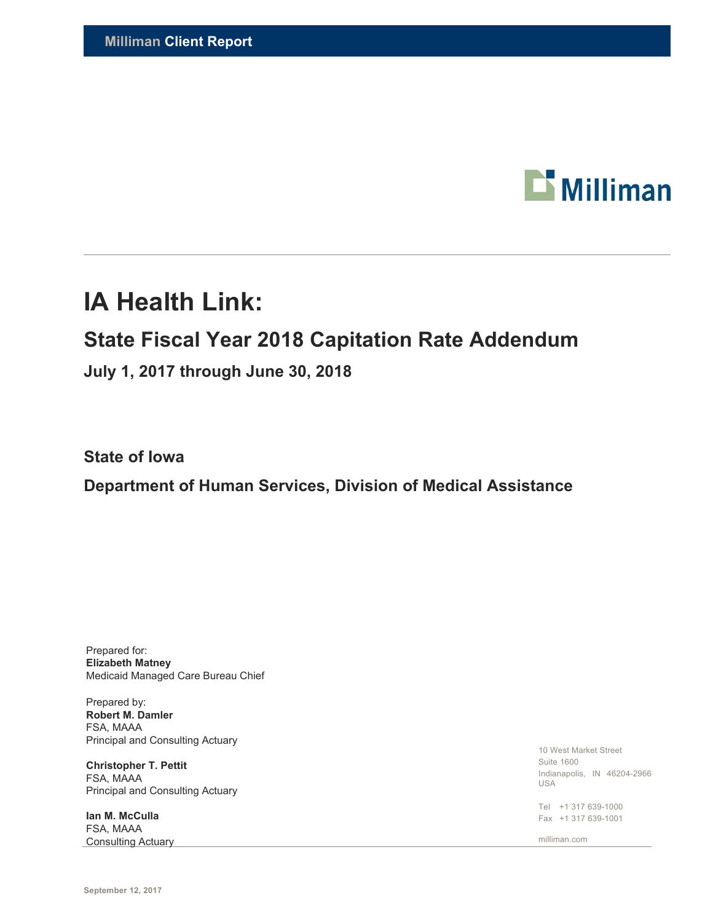

# **IA Health Link:**

## **State Fiscal Year 2018 Capitation Rate Addendum**

**July 1, 2017 through June 30, 2018** 

**State of Iowa** 

**Department of Human Services, Division of Medical Assistance** 

Prepared for: **Elizabeth Matney**  Medicaid Managed Care Bureau Chief

Prepared by: **Robert M. Damler**  FSA, MAAA Principal and Consulting Actuary

**Christopher T. Pettit**  FSA, MAAA Principal and Consulting Actuary

**Ian M. McCulla**  FSA, MAAA **Consulting Actuary** 

10 West Market Street Suite 1600 Indianapolis, IN 46204-2966 USA

Tel +1 317 639-1000 Fax +1 317 639-1001

milliman.com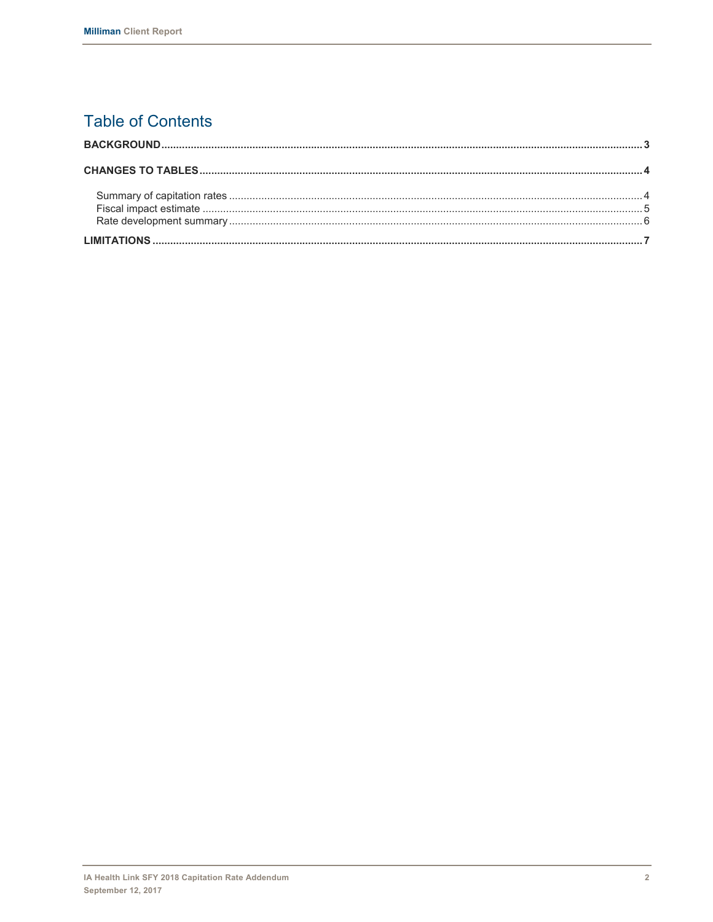## **Table of Contents**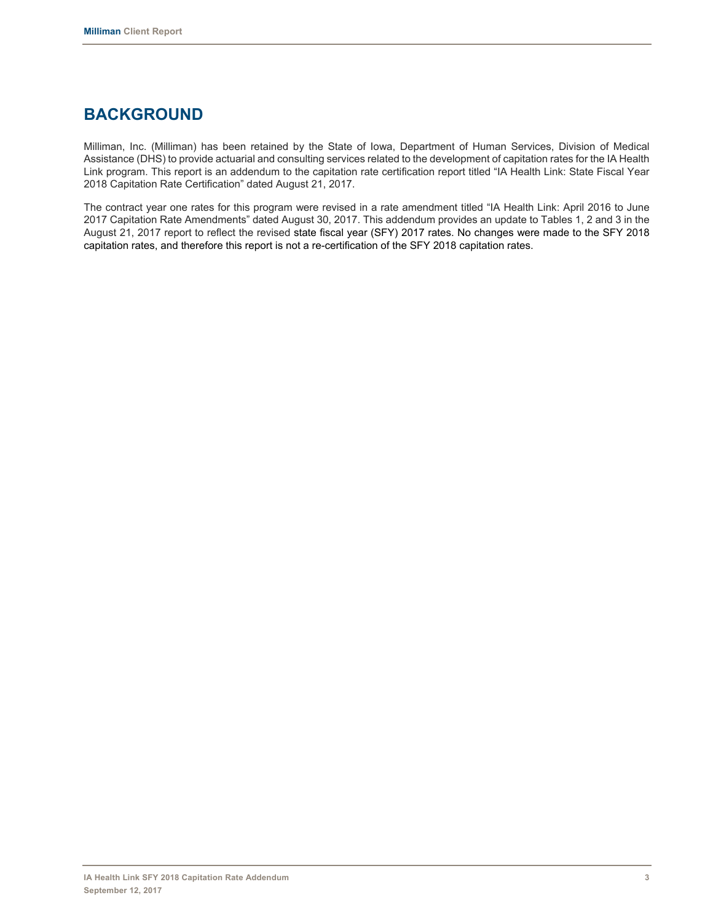### **BACKGROUND**

Milliman, Inc. (Milliman) has been retained by the State of Iowa, Department of Human Services, Division of Medical Assistance (DHS) to provide actuarial and consulting services related to the development of capitation rates for the IA Health Link program. This report is an addendum to the capitation rate certification report titled "IA Health Link: State Fiscal Year 2018 Capitation Rate Certification" dated August 21, 2017.

The contract year one rates for this program were revised in a rate amendment titled "IA Health Link: April 2016 to June 2017 Capitation Rate Amendments" dated August 30, 2017. This addendum provides an update to Tables 1, 2 and 3 in the August 21, 2017 report to reflect the revised state fiscal year (SFY) 2017 rates. No changes were made to the SFY 2018 capitation rates, and therefore this report is not a re-certification of the SFY 2018 capitation rates.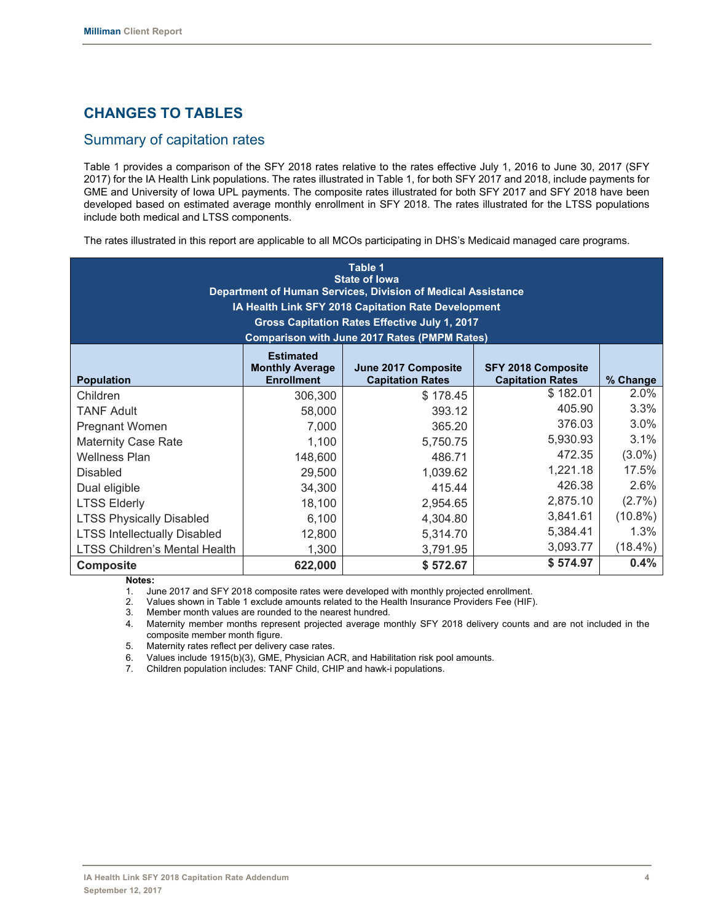#### **CHANGES TO TABLES**

#### Summary of capitation rates

Table 1 provides a comparison of the SFY 2018 rates relative to the rates effective July 1, 2016 to June 30, 2017 (SFY 2017) for the IA Health Link populations. The rates illustrated in Table 1, for both SFY 2017 and 2018, include payments for GME and University of Iowa UPL payments. The composite rates illustrated for both SFY 2017 and SFY 2018 have been developed based on estimated average monthly enrollment in SFY 2018. The rates illustrated for the LTSS populations include both medical and LTSS components.

The rates illustrated in this report are applicable to all MCOs participating in DHS's Medicaid managed care programs.

| Table 1<br><b>State of lowa</b><br>Department of Human Services, Division of Medical Assistance<br>IA Health Link SFY 2018 Capitation Rate Development<br>Gross Capitation Rates Effective July 1, 2017<br><b>Comparison with June 2017 Rates (PMPM Rates)</b> |                                                                 |                                                |                                                      |            |  |  |  |
|----------------------------------------------------------------------------------------------------------------------------------------------------------------------------------------------------------------------------------------------------------------|-----------------------------------------------------------------|------------------------------------------------|------------------------------------------------------|------------|--|--|--|
| <b>Population</b>                                                                                                                                                                                                                                              | <b>Estimated</b><br><b>Monthly Average</b><br><b>Enrollment</b> | June 2017 Composite<br><b>Capitation Rates</b> | <b>SFY 2018 Composite</b><br><b>Capitation Rates</b> | % Change   |  |  |  |
| Children                                                                                                                                                                                                                                                       | 306,300                                                         | \$178.45                                       | \$182.01                                             | 2.0%       |  |  |  |
| <b>TANF Adult</b>                                                                                                                                                                                                                                              | 58,000                                                          | 393.12                                         | 405.90                                               | 3.3%       |  |  |  |
| Pregnant Women                                                                                                                                                                                                                                                 | 7,000                                                           | 365.20                                         | 376.03                                               | 3.0%       |  |  |  |
| <b>Maternity Case Rate</b>                                                                                                                                                                                                                                     | 1,100                                                           | 5,750.75                                       | 5,930.93                                             | $3.1\%$    |  |  |  |
| <b>Wellness Plan</b>                                                                                                                                                                                                                                           | 148,600                                                         | 486.71                                         | 472.35                                               | $(3.0\%)$  |  |  |  |
| <b>Disabled</b>                                                                                                                                                                                                                                                | 29,500                                                          | 1,039.62                                       | 1,221.18                                             | 17.5%      |  |  |  |
| Dual eligible                                                                                                                                                                                                                                                  | 34,300                                                          | 415.44                                         | 426.38                                               | 2.6%       |  |  |  |
| <b>LTSS Elderly</b>                                                                                                                                                                                                                                            | 18,100                                                          | 2,954.65                                       | 2,875.10                                             | $(2.7\%)$  |  |  |  |
| <b>LTSS Physically Disabled</b>                                                                                                                                                                                                                                | 6,100                                                           | 4,304.80                                       | 3,841.61                                             | $(10.8\%)$ |  |  |  |
| <b>LTSS Intellectually Disabled</b>                                                                                                                                                                                                                            | 12,800                                                          | 5,314.70                                       | 5,384.41                                             | 1.3%       |  |  |  |
| <b>LTSS Children's Mental Health</b>                                                                                                                                                                                                                           | 1,300                                                           | 3,791.95                                       | 3,093.77                                             | $(18.4\%)$ |  |  |  |
| <b>Composite</b>                                                                                                                                                                                                                                               | 622,000                                                         | \$572.67                                       | \$574.97                                             | 0.4%       |  |  |  |

**Notes:** 

1. June 2017 and SFY 2018 composite rates were developed with monthly projected enrollment.

2. Values shown in Table 1 exclude amounts related to the Health Insurance Providers Fee (HIF).

3. Member month values are rounded to the nearest hundred.

4. Maternity member months represent projected average monthly SFY 2018 delivery counts and are not included in the composite member month figure.

5. Maternity rates reflect per delivery case rates.

6. Values include 1915(b)(3), GME, Physician ACR, and Habilitation risk pool amounts.

7. Children population includes: TANF Child, CHIP and hawk-i populations.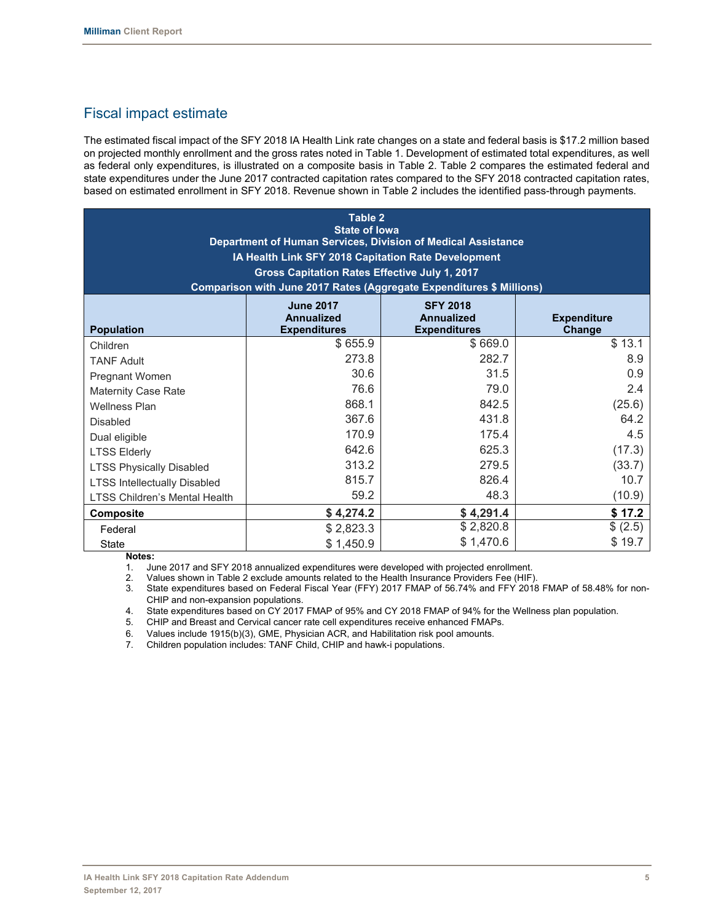#### Fiscal impact estimate

The estimated fiscal impact of the SFY 2018 IA Health Link rate changes on a state and federal basis is \$17.2 million based on projected monthly enrollment and the gross rates noted in Table 1. Development of estimated total expenditures, as well as federal only expenditures, is illustrated on a composite basis in Table 2. Table 2 compares the estimated federal and state expenditures under the June 2017 contracted capitation rates compared to the SFY 2018 contracted capitation rates, based on estimated enrollment in SFY 2018. Revenue shown in Table 2 includes the identified pass-through payments.

| Table 2<br><b>State of lowa</b><br>Department of Human Services, Division of Medical Assistance<br>IA Health Link SFY 2018 Capitation Rate Development<br>Gross Capitation Rates Effective July 1, 2017<br>Comparison with June 2017 Rates (Aggregate Expenditures \$ Millions) |                                                              |                                                             |                              |  |  |  |
|---------------------------------------------------------------------------------------------------------------------------------------------------------------------------------------------------------------------------------------------------------------------------------|--------------------------------------------------------------|-------------------------------------------------------------|------------------------------|--|--|--|
| <b>Population</b>                                                                                                                                                                                                                                                               | <b>June 2017</b><br><b>Annualized</b><br><b>Expenditures</b> | <b>SFY 2018</b><br><b>Annualized</b><br><b>Expenditures</b> | <b>Expenditure</b><br>Change |  |  |  |
| Children                                                                                                                                                                                                                                                                        | \$655.9                                                      | \$669.0                                                     | \$13.1                       |  |  |  |
| <b>TANF Adult</b>                                                                                                                                                                                                                                                               | 273.8                                                        | 282.7                                                       | 8.9                          |  |  |  |
| Pregnant Women                                                                                                                                                                                                                                                                  | 30.6                                                         | 31.5                                                        | 0.9                          |  |  |  |
| <b>Maternity Case Rate</b>                                                                                                                                                                                                                                                      | 76.6                                                         | 79.0                                                        | 2.4                          |  |  |  |
| <b>Wellness Plan</b>                                                                                                                                                                                                                                                            | 868.1                                                        | 842.5                                                       | (25.6)                       |  |  |  |
| <b>Disabled</b>                                                                                                                                                                                                                                                                 | 367.6                                                        | 431.8                                                       | 64.2                         |  |  |  |
| Dual eligible                                                                                                                                                                                                                                                                   | 170.9                                                        | 175.4                                                       | 4.5                          |  |  |  |
| <b>LTSS Elderly</b>                                                                                                                                                                                                                                                             | 642.6                                                        | 625.3                                                       | (17.3)                       |  |  |  |
| <b>LTSS Physically Disabled</b>                                                                                                                                                                                                                                                 | 313.2                                                        | 279.5                                                       | (33.7)                       |  |  |  |
| <b>LTSS Intellectually Disabled</b>                                                                                                                                                                                                                                             | 815.7                                                        | 826.4                                                       | 10.7                         |  |  |  |
| LTSS Children's Mental Health                                                                                                                                                                                                                                                   | 59.2                                                         | 48.3                                                        | (10.9)                       |  |  |  |
| Composite                                                                                                                                                                                                                                                                       | \$4,274.2                                                    | \$4,291.4                                                   | \$17.2                       |  |  |  |
| Federal                                                                                                                                                                                                                                                                         | \$2,823.3                                                    | \$2,820.8                                                   | \$(2.5)                      |  |  |  |
| <b>State</b>                                                                                                                                                                                                                                                                    | \$1,450.9                                                    | \$1,470.6                                                   | \$19.7                       |  |  |  |

**Notes:** 

1. June 2017 and SFY 2018 annualized expenditures were developed with projected enrollment.

2. Values shown in Table 2 exclude amounts related to the Health Insurance Providers Fee (HIF).

3. State expenditures based on Federal Fiscal Year (FFY) 2017 FMAP of 56.74% and FFY 2018 FMAP of 58.48% for non-CHIP and non-expansion populations.

4. State expenditures based on CY 2017 FMAP of 95% and CY 2018 FMAP of 94% for the Wellness plan population.

5. CHIP and Breast and Cervical cancer rate cell expenditures receive enhanced FMAPs.

6. Values include 1915(b)(3), GME, Physician ACR, and Habilitation risk pool amounts.

7. Children population includes: TANF Child, CHIP and hawk-i populations.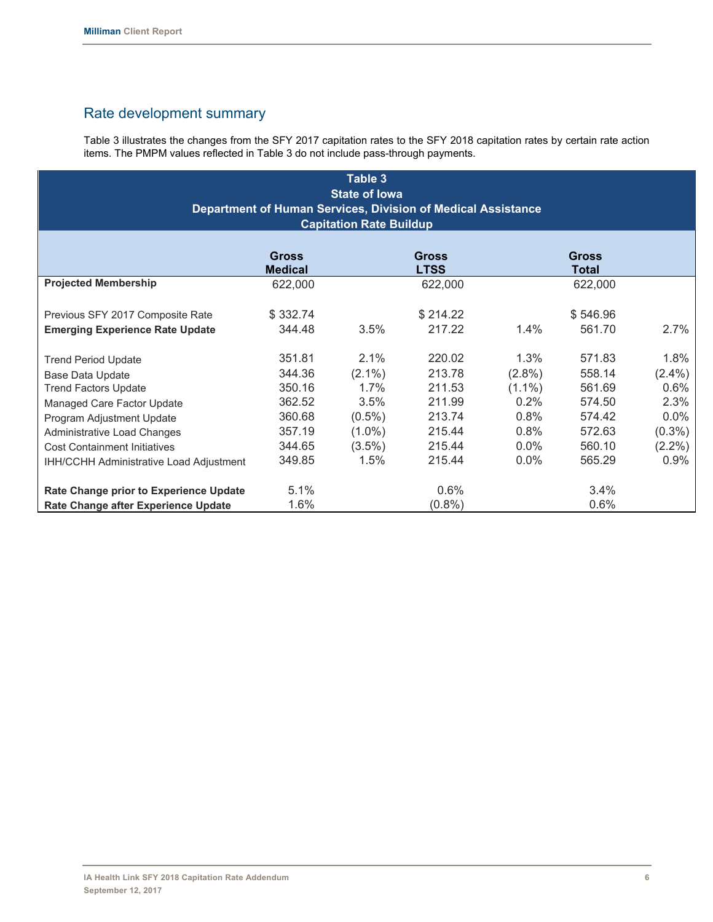#### Rate development summary

Table 3 illustrates the changes from the SFY 2017 capitation rates to the SFY 2018 capitation rates by certain rate action items. The PMPM values reflected in Table 3 do not include pass-through payments.

| Table 3<br><b>State of lowa</b><br>Department of Human Services, Division of Medical Assistance<br><b>Capitation Rate Buildup</b> |                                |           |                             |           |                       |           |  |
|-----------------------------------------------------------------------------------------------------------------------------------|--------------------------------|-----------|-----------------------------|-----------|-----------------------|-----------|--|
|                                                                                                                                   | <b>Gross</b><br><b>Medical</b> |           | <b>Gross</b><br><b>LTSS</b> |           | <b>Gross</b><br>Total |           |  |
| <b>Projected Membership</b>                                                                                                       | 622,000                        |           | 622,000                     |           | 622,000               |           |  |
| Previous SFY 2017 Composite Rate<br><b>Emerging Experience Rate Update</b>                                                        | \$332.74<br>344.48             | 3.5%      | \$214.22<br>217.22          | $1.4\%$   | \$546.96<br>561.70    | $2.7\%$   |  |
|                                                                                                                                   |                                |           |                             |           |                       |           |  |
| <b>Trend Period Update</b>                                                                                                        | 351.81                         | $2.1\%$   | 220.02                      | 1.3%      | 571.83                | 1.8%      |  |
| Base Data Update                                                                                                                  | 344.36                         | $(2.1\%)$ | 213.78                      | $(2.8\%)$ | 558.14                | $(2.4\%)$ |  |
| <b>Trend Factors Update</b>                                                                                                       | 350.16                         | 1.7%      | 211.53                      | $(1.1\%)$ | 561.69                | $0.6\%$   |  |
| Managed Care Factor Update                                                                                                        | 362.52                         | 3.5%      | 211.99                      | $0.2\%$   | 574.50                | 2.3%      |  |
| Program Adjustment Update                                                                                                         | 360.68                         | $(0.5\%)$ | 213.74                      | 0.8%      | 574.42                | $0.0\%$   |  |
| Administrative Load Changes                                                                                                       | 357.19                         | $(1.0\%)$ | 215.44                      | 0.8%      | 572.63                | $(0.3\%)$ |  |
| <b>Cost Containment Initiatives</b>                                                                                               | 344.65                         | $(3.5\%)$ | 215.44                      | $0.0\%$   | 560.10                | $(2.2\%)$ |  |
| <b>IHH/CCHH Administrative Load Adjustment</b>                                                                                    | 349.85                         | 1.5%      | 215.44                      | $0.0\%$   | 565.29                | 0.9%      |  |
| Rate Change prior to Experience Update                                                                                            | 5.1%                           |           | $0.6\%$                     |           | 3.4%                  |           |  |
| Rate Change after Experience Update                                                                                               | 1.6%                           |           | $(0.8\%)$                   |           | 0.6%                  |           |  |